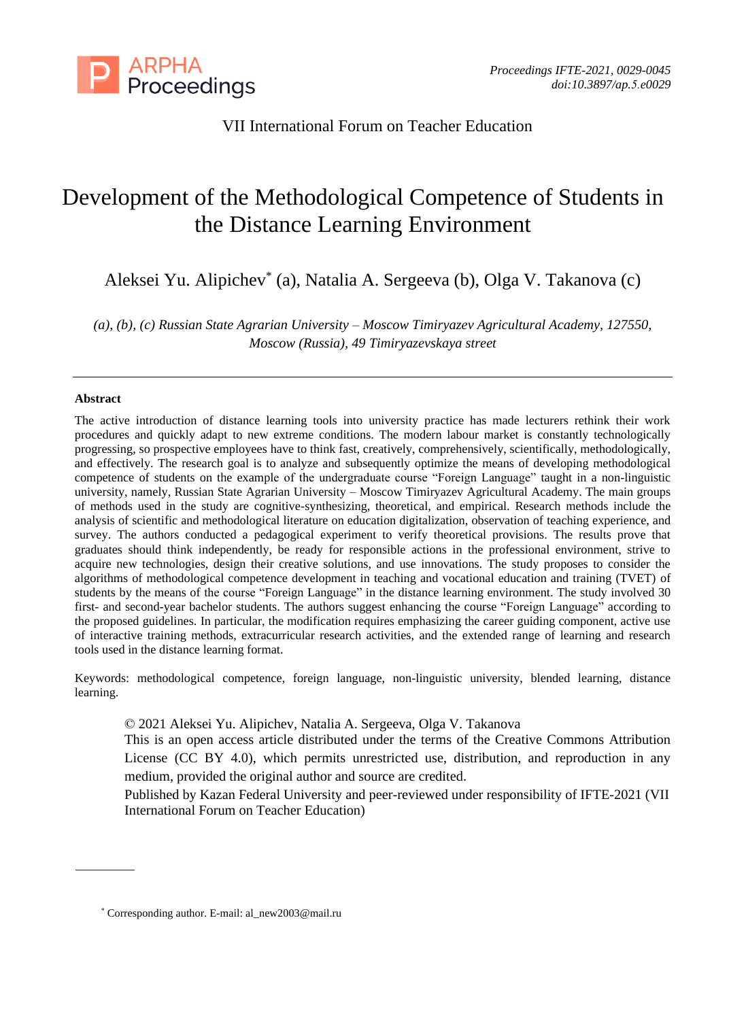

# VII International Forum on Teacher Education

# Development of the Methodological Competence of Students in the Distance Learning Environment

Aleksei Yu. Alipichev\* (a), Natalia A. Sergeeva (b), Olga V. Takanova (c)

*(a), (b), (c) Russian State Agrarian University – Moscow Timiryazev Agricultural Academy, 127550, Moscow (Russia), 49 Timiryazevskaya street* 

#### **Abstract**

The active introduction of distance learning tools into university practice has made lecturers rethink their work procedures and quickly adapt to new extreme conditions. The modern labour market is constantly technologically progressing, so prospective employees have to think fast, creatively, comprehensively, scientifically, methodologically, and effectively. The research goal is to analyze and subsequently optimize the means of developing methodological competence of students on the example of the undergraduate course "Foreign Language" taught in a non-linguistic university, namely, Russian State Agrarian University – Moscow Timiryazev Agricultural Academy. The main groups of methods used in the study are cognitive-synthesizing, theoretical, and empirical. Research methods include the analysis of scientific and methodological literature on education digitalization, observation of teaching experience, and survey. The authors conducted a pedagogical experiment to verify theoretical provisions. The results prove that graduates should think independently, be ready for responsible actions in the professional environment, strive to acquire new technologies, design their creative solutions, and use innovations. The study proposes to consider the algorithms of methodological competence development in teaching and vocational education and training (TVET) of students by the means of the course "Foreign Language" in the distance learning environment. The study involved 30 first- and second-year bachelor students. The authors suggest enhancing the course "Foreign Language" according to the proposed guidelines. In particular, the modification requires emphasizing the career guiding component, active use of interactive training methods, extracurricular research activities, and the extended range of learning and research tools used in the distance learning format.

Keywords: methodological competence, foreign language, non-linguistic university, blended learning, distance learning.

© 2021 Aleksei Yu. Alipichev, Natalia A. Sergeeva, Olga V. Takanova

This is an open access article distributed under the terms of the Creative Commons Attribution License (CC BY 4.0), which permits unrestricted use, distribution, and reproduction in any medium, provided the original author and source are credited.

Published by Kazan Federal University and peer-reviewed under responsibility of IFTE-2021 (VII International Forum on Teacher Education)

<sup>\*</sup> Corresponding author. E-mail: al\_new2003@mail.ru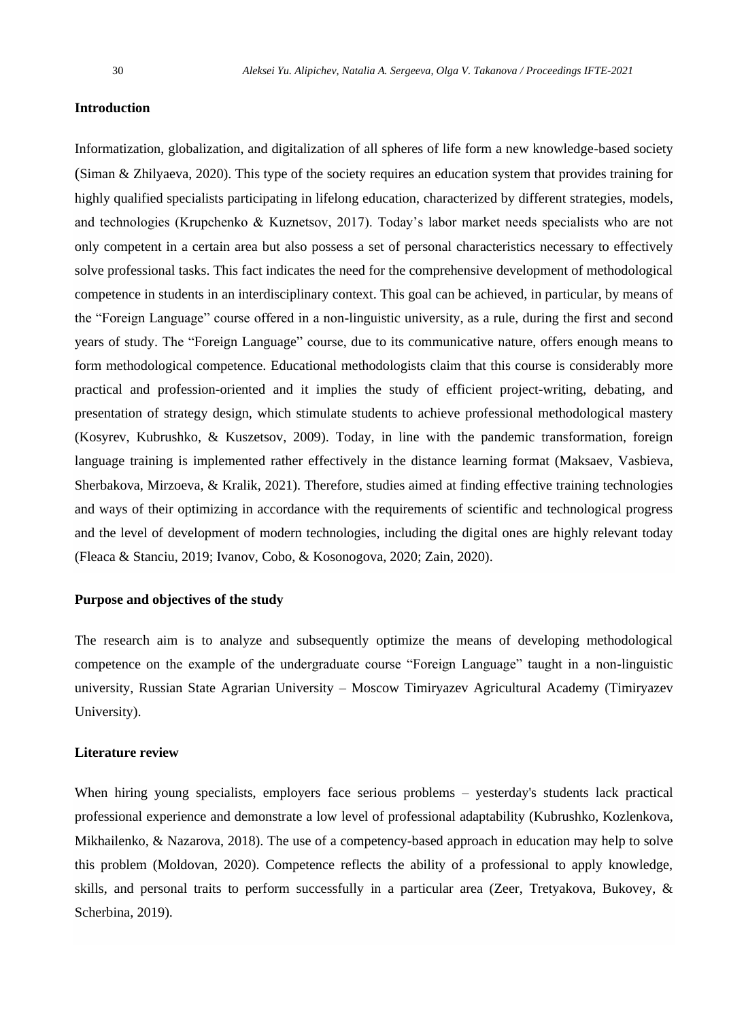#### **Introduction**

Informatization, globalization, and digitalization of all spheres of life form a new knowledge-based society (Siman & Zhilyaeva, 2020). This type of the society requires an education system that provides training for highly qualified specialists participating in lifelong education, characterized by different strategies, models, and technologies (Krupchenko & Kuznetsov, 2017). Today's labor market needs specialists who are not only competent in a certain area but also possess a set of personal characteristics necessary to effectively solve professional tasks. This fact indicates the need for the comprehensive development of methodological competence in students in an interdisciplinary context. This goal can be achieved, in particular, by means of the "Foreign Language" course offered in a non-linguistic university, as a rule, during the first and second years of study. The "Foreign Language" course, due to its communicative nature, offers enough means to form methodological competence. Educational methodologists claim that this course is considerably more practical and profession-oriented and it implies the study of efficient project-writing, debating, and presentation of strategy design, which stimulate students to achieve professional methodological mastery (Kosyrev, Kubrushko, & Kuszetsov, 2009). Today, in line with the pandemic transformation, foreign language training is implemented rather effectively in the distance learning format (Maksaev, Vasbieva, Sherbakova, Mirzoeva, & Kralik, 2021). Therefore, studies aimed at finding effective training technologies and ways of their optimizing in accordance with the requirements of scientific and technological progress and the level of development of modern technologies, including the digital ones are highly relevant today (Fleaca & Stanciu, 2019; Ivanov, Cobo, & Kosonogova, 2020; Zain, 2020).

#### **Purpose and objectives of the study**

The research aim is to analyze and subsequently optimize the means of developing methodological competence on the example of the undergraduate course "Foreign Language" taught in a non-linguistic university, Russian State Agrarian University – Moscow Timiryazev Agricultural Academy (Timiryazev University).

#### **Literature review**

When hiring young specialists, employers face serious problems – yesterday's students lack practical professional experience and demonstrate a low level of professional adaptability (Kubrushko, Kozlenkova, Mikhailenko, & Nazarova, 2018). The use of a competency-based approach in education may help to solve this problem (Moldovan, 2020). Competence reflects the ability of a professional to apply knowledge, skills, and personal traits to perform successfully in a particular area (Zeer, Tretyakova, Bukovey, & Scherbina, 2019).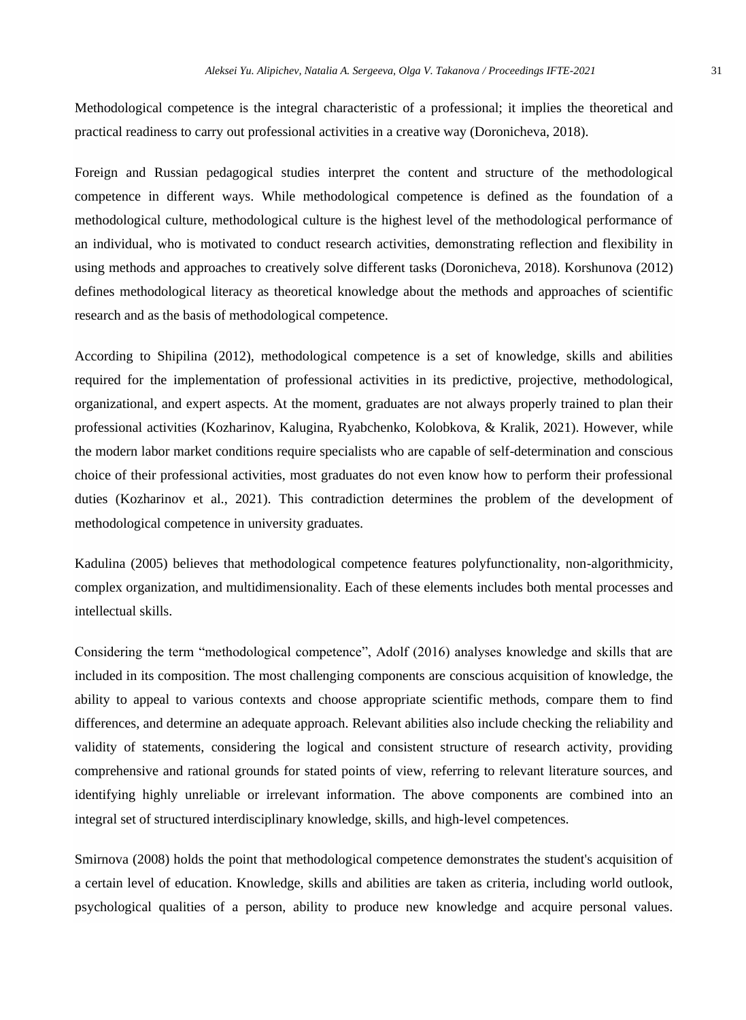Methodological competence is the integral characteristic of a professional; it implies the theoretical and practical readiness to carry out professional activities in a creative way (Doronicheva, 2018).

Foreign and Russian pedagogical studies interpret the content and structure of the methodological competence in different ways. While methodological competence is defined as the foundation of a methodological culture, methodological culture is the highest level of the methodological performance of an individual, who is motivated to conduct research activities, demonstrating reflection and flexibility in using methods and approaches to creatively solve different tasks (Doronicheva, 2018). Korshunova (2012) defines methodological literacy as theoretical knowledge about the methods and approaches of scientific research and as the basis of methodological competence.

According to Shipilina (2012), methodological competence is a set of knowledge, skills and abilities required for the implementation of professional activities in its predictive, projective, methodological, organizational, and expert aspects. At the moment, graduates are not always properly trained to plan their professional activities (Kozharinov, Kalugina, Ryabchenko, Kolobkova, & Kralik, 2021). However, while the modern labor market conditions require specialists who are capable of self-determination and conscious choice of their professional activities, most graduates do not even know how to perform their professional duties (Kozharinov et al., 2021). This contradiction determines the problem of the development of methodological competence in university graduates.

Kadulina (2005) believes that methodological competence features polyfunctionality, non-algorithmicity, complex organization, and multidimensionality. Each of these elements includes both mental processes and intellectual skills.

Considering the term "methodological competence", Adolf (2016) analyses knowledge and skills that are included in its composition. The most challenging components are conscious acquisition of knowledge, the ability to appeal to various contexts and choose appropriate scientific methods, compare them to find differences, and determine an adequate approach. Relevant abilities also include checking the reliability and validity of statements, considering the logical and consistent structure of research activity, providing comprehensive and rational grounds for stated points of view, referring to relevant literature sources, and identifying highly unreliable or irrelevant information. The above components are combined into an integral set of structured interdisciplinary knowledge, skills, and high-level competences.

Smirnova (2008) holds the point that methodological competence demonstrates the student's acquisition of a certain level of education. Knowledge, skills and abilities are taken as criteria, including world outlook, psychological qualities of a person, ability to produce new knowledge and acquire personal values.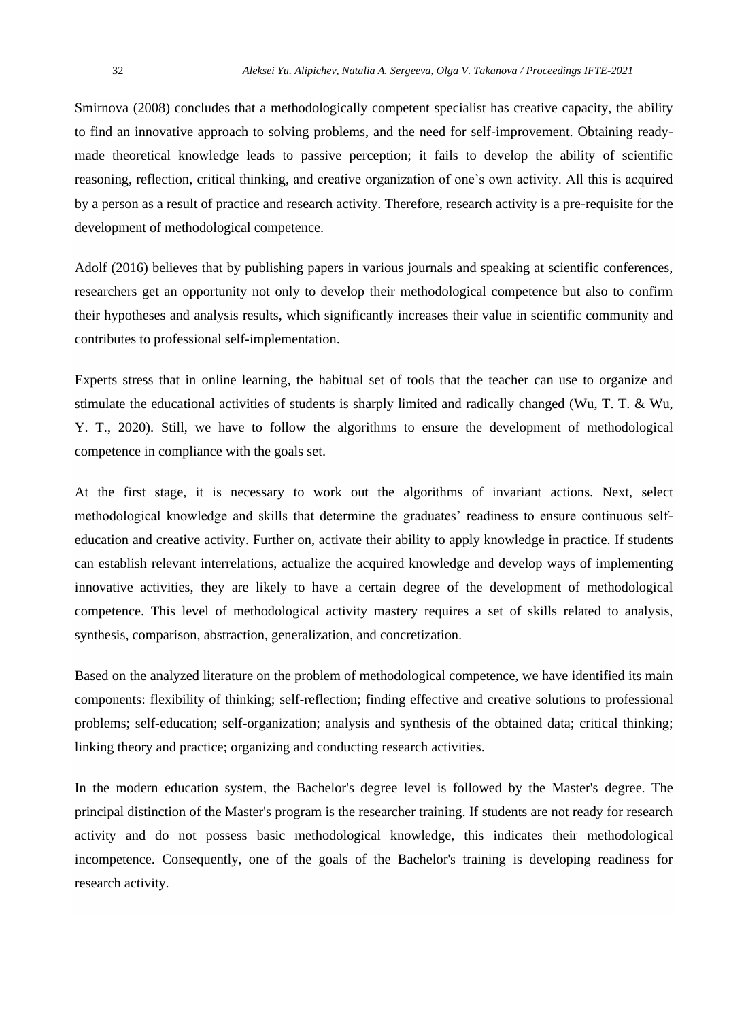Smirnova (2008) concludes that a methodologically competent specialist has creative capacity, the ability to find an innovative approach to solving problems, and the need for self-improvement. Obtaining readymade theoretical knowledge leads to passive perception; it fails to develop the ability of scientific reasoning, reflection, critical thinking, and creative organization of one's own activity. All this is acquired by a person as a result of practice and research activity. Therefore, research activity is a pre-requisite for the development of methodological competence.

Adolf (2016) believes that by publishing papers in various journals and speaking at scientific conferences, researchers get an opportunity not only to develop their methodological competence but also to confirm their hypotheses and analysis results, which significantly increases their value in scientific community and contributes to professional self-implementation.

Experts stress that in online learning, the habitual set of tools that the teacher can use to organize and stimulate the educational activities of students is sharply limited and radically changed (Wu, T. T. & Wu, Y. T., 2020). Still, we have to follow the algorithms to ensure the development of methodological competence in compliance with the goals set.

At the first stage, it is necessary to work out the algorithms of invariant actions. Next, select methodological knowledge and skills that determine the graduates' readiness to ensure continuous selfeducation and creative activity. Further on, activate their ability to apply knowledge in practice. If students can establish relevant interrelations, actualize the acquired knowledge and develop ways of implementing innovative activities, they are likely to have a certain degree of the development of methodological competence. This level of methodological activity mastery requires a set of skills related to analysis, synthesis, comparison, abstraction, generalization, and concretization.

Based on the analyzed literature on the problem of methodological competence, we have identified its main components: flexibility of thinking; self-reflection; finding effective and creative solutions to professional problems; self-education; self-organization; analysis and synthesis of the obtained data; critical thinking; linking theory and practice; organizing and conducting research activities.

In the modern education system, the Bachelor's degree level is followed by the Master's degree. The principal distinction of the Master's program is the researcher training. If students are not ready for research activity and do not possess basic methodological knowledge, this indicates their methodological incompetence. Consequently, one of the goals of the Bachelor's training is developing readiness for research activity.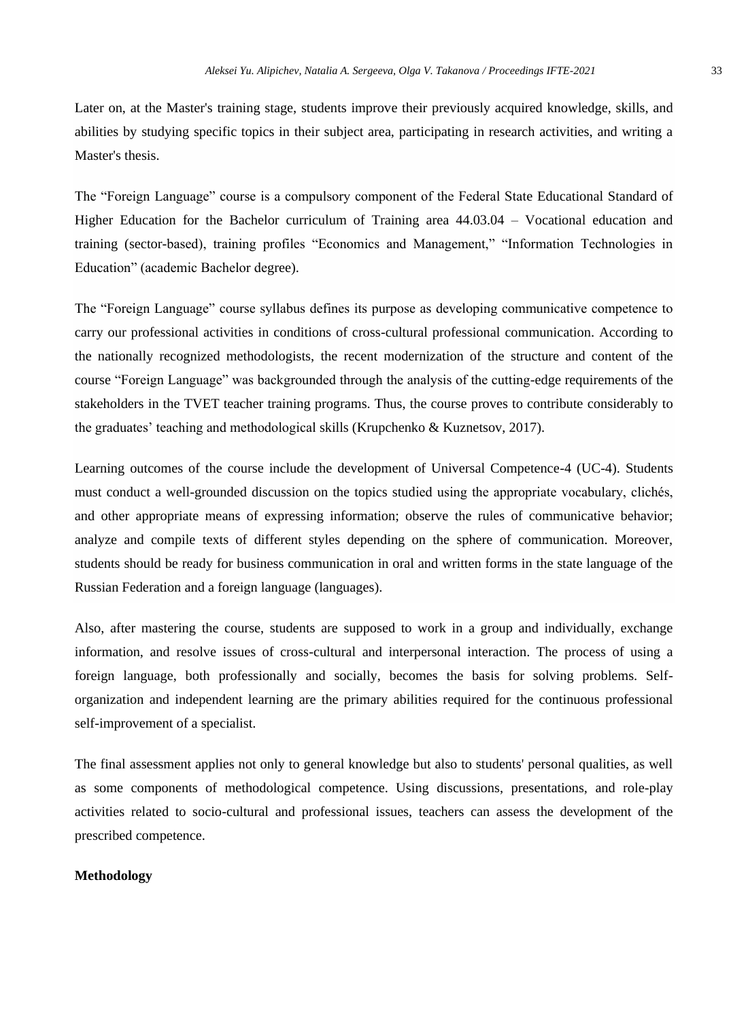Later on, at the Master's training stage, students improve their previously acquired knowledge, skills, and abilities by studying specific topics in their subject area, participating in research activities, and writing a Master's thesis.

The "Foreign Language" course is a compulsory component of the Federal State Educational Standard of Higher Education for the Bachelor curriculum of Training area 44.03.04 – Vocational education and training (sector-based), training profiles "Economics and Management," "Information Technologies in Education" (academic Bachelor degree).

The "Foreign Language" course syllabus defines its purpose as developing communicative competence to carry our professional activities in conditions of cross-cultural professional communication. According to the nationally recognized methodologists, the recent modernization of the structure and content of the course "Foreign Language" was backgrounded through the analysis of the cutting-edge requirements of the stakeholders in the TVET teacher training programs. Thus, the course proves to contribute considerably to the graduates' teaching and methodological skills (Krupchenko & Kuznetsov, 2017).

Learning outcomes of the course include the development of Universal Competence-4 (UC-4). Students must conduct a well-grounded discussion on the topics studied using the appropriate vocabulary, clichés, and other appropriate means of expressing information; observe the rules of communicative behavior; analyze and compile texts of different styles depending on the sphere of communication. Moreover, students should be ready for business communication in oral and written forms in the state language of the Russian Federation and a foreign language (languages).

Also, after mastering the course, students are supposed to work in a group and individually, exchange information, and resolve issues of cross-cultural and interpersonal interaction. The process of using a foreign language, both professionally and socially, becomes the basis for solving problems. Selforganization and independent learning are the primary abilities required for the continuous professional self-improvement of a specialist.

The final assessment applies not only to general knowledge but also to students' personal qualities, as well as some components of methodological competence. Using discussions, presentations, and role-play activities related to socio-cultural and professional issues, teachers can assess the development of the prescribed competence.

# **Methodology**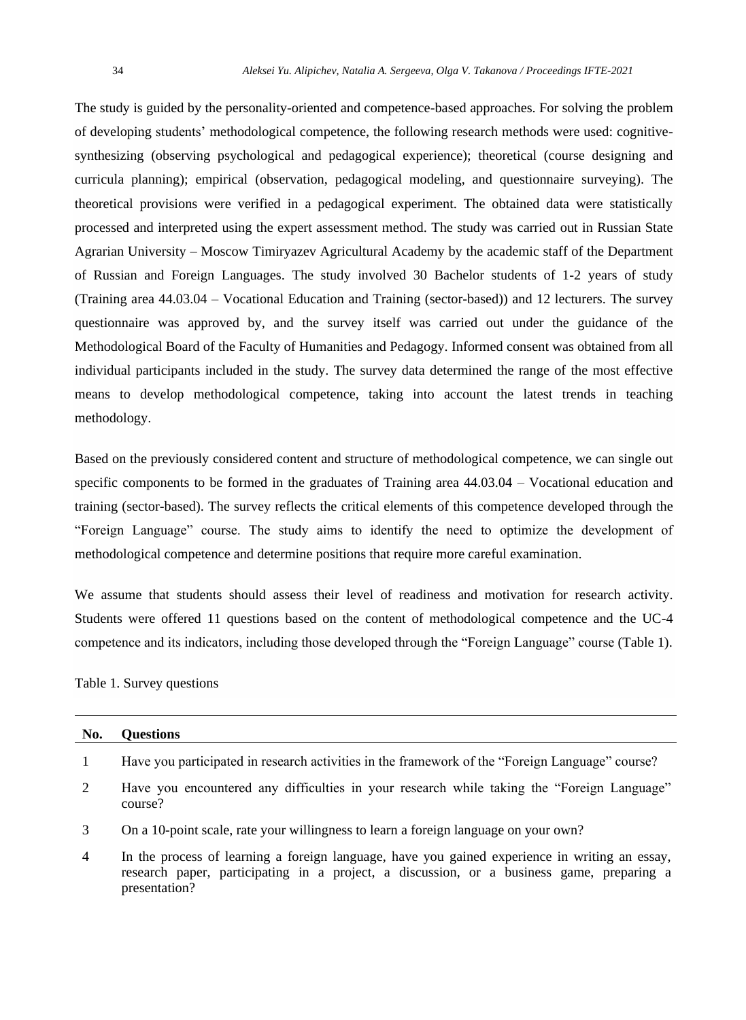The study is guided by the personality-oriented and competence-based approaches. For solving the problem of developing students' methodological competence, the following research methods were used: cognitivesynthesizing (observing psychological and pedagogical experience); theoretical (course designing and curricula planning); empirical (observation, pedagogical modeling, and questionnaire surveying). The theoretical provisions were verified in a pedagogical experiment. The obtained data were statistically processed and interpreted using the expert assessment method. The study was carried out in Russian State Agrarian University – Moscow Timiryazev Agricultural Academy by the academic staff of the Department of Russian and Foreign Languages. The study involved 30 Bachelor students of 1-2 years of study (Training area 44.03.04 – Vocational Education and Training (sector-based)) and 12 lecturers. The survey questionnaire was approved by, and the survey itself was carried out under the guidance of the Methodological Board of the Faculty of Humanities and Pedagogy. Informed consent was obtained from all individual participants included in the study. The survey data determined the range of the most effective means to develop methodological competence, taking into account the latest trends in teaching methodology.

Based on the previously considered content and structure of methodological competence, we can single out specific components to be formed in the graduates of Training area 44.03.04 – Vocational education and training (sector-based). The survey reflects the critical elements of this competence developed through the "Foreign Language" course. The study aims to identify the need to optimize the development of methodological competence and determine positions that require more careful examination.

We assume that students should assess their level of readiness and motivation for research activity. Students were offered 11 questions based on the content of methodological competence and the UC-4 competence and its indicators, including those developed through the "Foreign Language" course (Table 1).

Table 1. Survey questions

| No.            | <b>Ouestions</b>                                                                                                                                                                                             |
|----------------|--------------------------------------------------------------------------------------------------------------------------------------------------------------------------------------------------------------|
|                | Have you participated in research activities in the framework of the "Foreign Language" course?                                                                                                              |
| 2              | Have you encountered any difficulties in your research while taking the "Foreign Language"<br>course?                                                                                                        |
| 3              | On a 10-point scale, rate your willingness to learn a foreign language on your own?                                                                                                                          |
| $\overline{4}$ | In the process of learning a foreign language, have you gained experience in writing an essay,<br>research paper, participating in a project, a discussion, or a business game, preparing a<br>presentation? |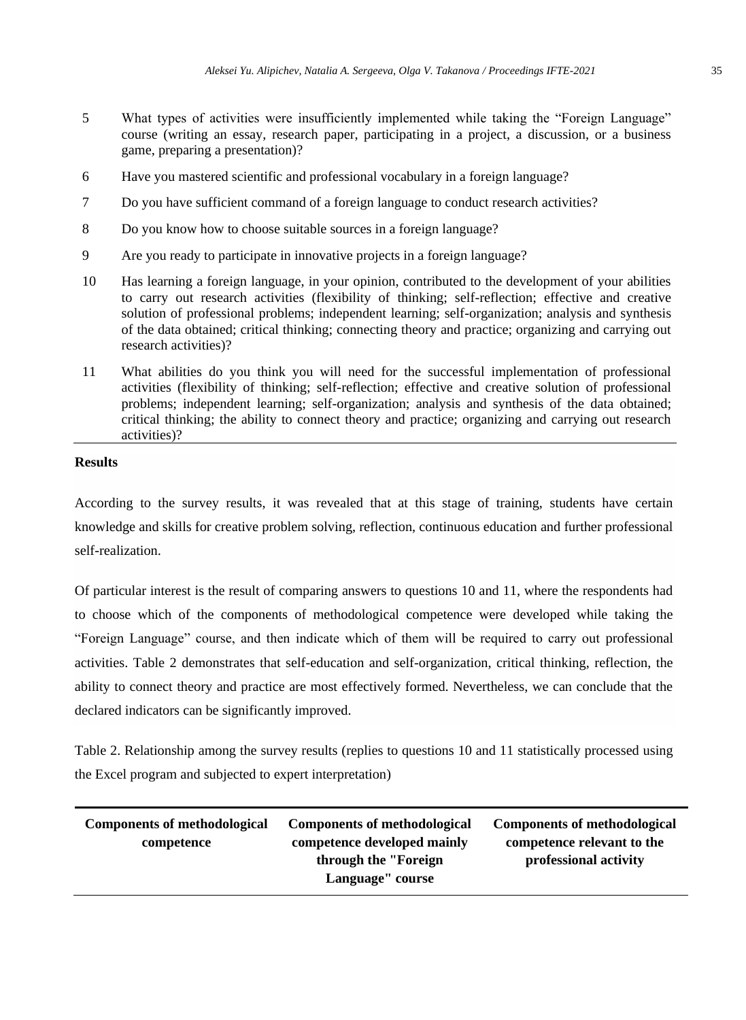- 5 What types of activities were insufficiently implemented while taking the "Foreign Language" course (writing an essay, research paper, participating in a project, a discussion, or a business game, preparing a presentation)?
- 6 Have you mastered scientific and professional vocabulary in a foreign language?
- 7 Do you have sufficient command of a foreign language to conduct research activities?
- 8 Do you know how to choose suitable sources in a foreign language?
- 9 Are you ready to participate in innovative projects in a foreign language?
- 10 Has learning a foreign language, in your opinion, contributed to the development of your abilities to carry out research activities (flexibility of thinking; self-reflection; effective and creative solution of professional problems; independent learning; self-organization; analysis and synthesis of the data obtained; critical thinking; connecting theory and practice; organizing and carrying out research activities)?
- 11 What abilities do you think you will need for the successful implementation of professional activities (flexibility of thinking; self-reflection; effective and creative solution of professional problems; independent learning; self-organization; analysis and synthesis of the data obtained; critical thinking; the ability to connect theory and practice; organizing and carrying out research activities)?

## **Results**

According to the survey results, it was revealed that at this stage of training, students have certain knowledge and skills for creative problem solving, reflection, continuous education and further professional self-realization.

Of particular interest is the result of comparing answers to questions 10 and 11, where the respondents had to choose which of the components of methodological competence were developed while taking the "Foreign Language" course, and then indicate which of them will be required to carry out professional activities. Table 2 demonstrates that self-education and self-organization, critical thinking, reflection, the ability to connect theory and practice are most effectively formed. Nevertheless, we can conclude that the declared indicators can be significantly improved.

Table 2. Relationship among the survey results (replies to questions 10 and 11 statistically processed using the Excel program and subjected to expert interpretation)

| <b>Components of methodological</b> | Components of methodological | Components of methodological |
|-------------------------------------|------------------------------|------------------------------|
| competence                          | competence developed mainly  | competence relevant to the   |
|                                     | through the "Foreign"        | professional activity        |
|                                     | Language" course             |                              |
|                                     |                              |                              |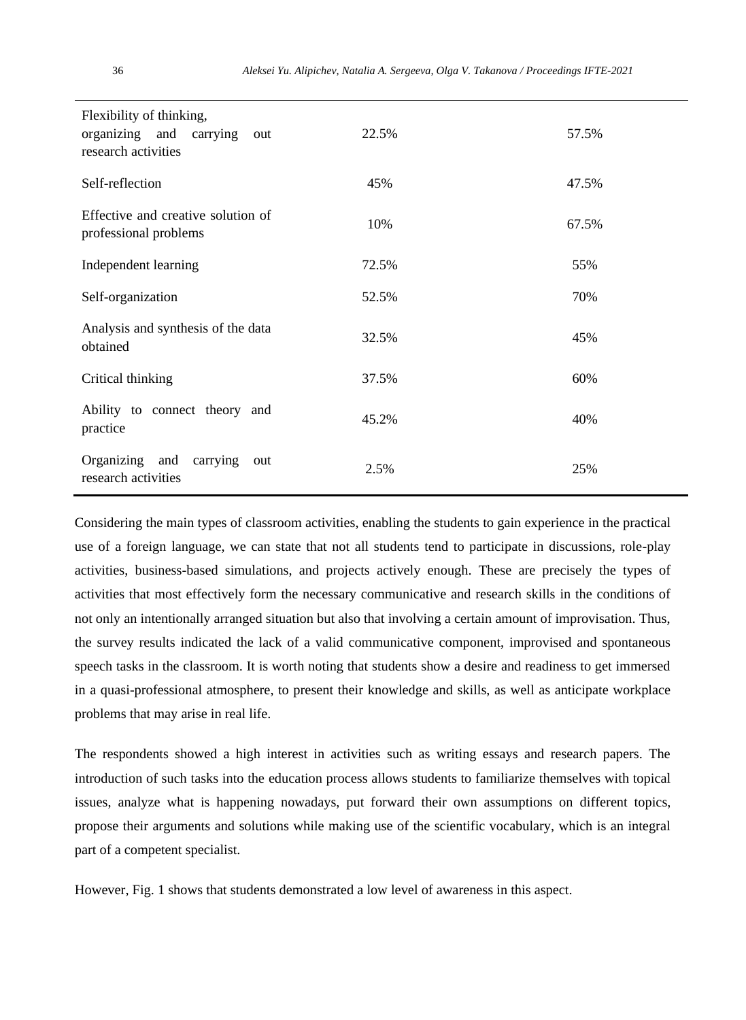| Flexibility of thinking,<br>organizing and carrying out<br>research activities | 22.5% | 57.5% |
|--------------------------------------------------------------------------------|-------|-------|
| Self-reflection                                                                | 45%   | 47.5% |
| Effective and creative solution of<br>professional problems                    | 10%   | 67.5% |
| Independent learning                                                           | 72.5% | 55%   |
| Self-organization                                                              | 52.5% | 70%   |
| Analysis and synthesis of the data<br>obtained                                 | 32.5% | 45%   |
| Critical thinking                                                              | 37.5% | 60%   |
| Ability to connect theory and<br>practice                                      | 45.2% | 40%   |
| Organizing and carrying out<br>research activities                             | 2.5%  | 25%   |

Considering the main types of classroom activities, enabling the students to gain experience in the practical use of a foreign language, we can state that not all students tend to participate in discussions, role-play activities, business-based simulations, and projects actively enough. These are precisely the types of activities that most effectively form the necessary communicative and research skills in the conditions of not only an intentionally arranged situation but also that involving a certain amount of improvisation. Thus, the survey results indicated the lack of a valid communicative component, improvised and spontaneous speech tasks in the classroom. It is worth noting that students show a desire and readiness to get immersed in a quasi-professional atmosphere, to present their knowledge and skills, as well as anticipate workplace problems that may arise in real life.

The respondents showed a high interest in activities such as writing essays and research papers. The introduction of such tasks into the education process allows students to familiarize themselves with topical issues, analyze what is happening nowadays, put forward their own assumptions on different topics, propose their arguments and solutions while making use of the scientific vocabulary, which is an integral part of a competent specialist.

However, Fig. 1 shows that students demonstrated a low level of awareness in this aspect.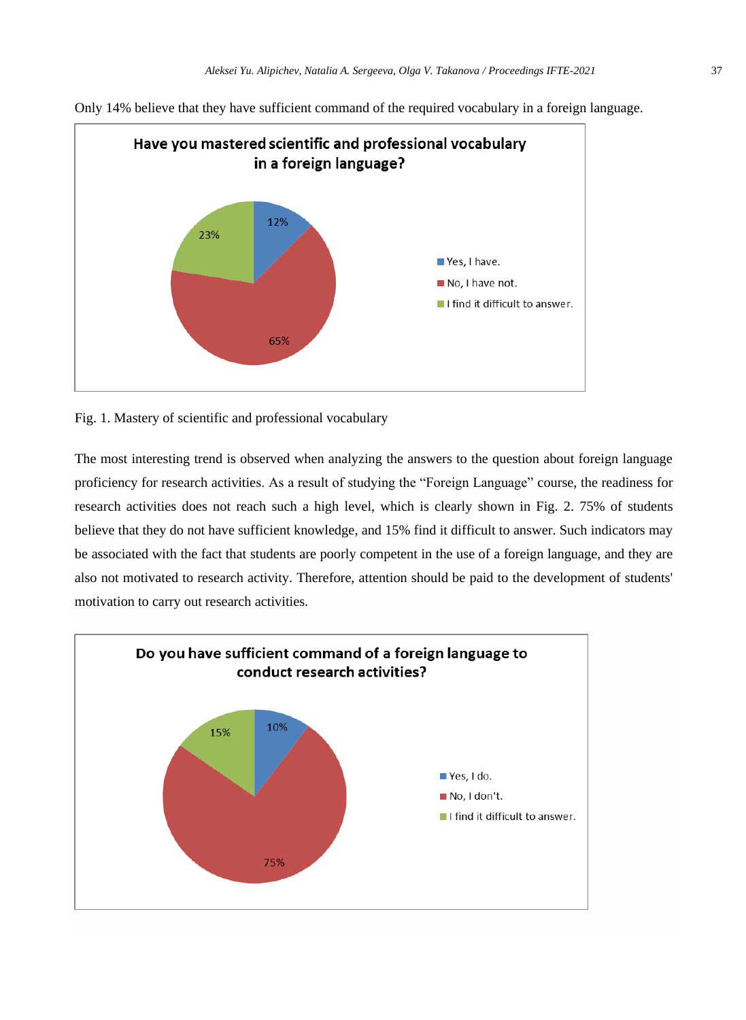

Only 14% believe that they have sufficient command of the required vocabulary in a foreign language.

Fig. 1. Mastery of scientific and professional vocabulary

The most interesting trend is observed when analyzing the answers to the question about foreign language proficiency for research activities. As a result of studying the "Foreign Language" course, the readiness for research activities does not reach such a high level, which is clearly shown in Fig. 2. 75% of students believe that they do not have sufficient knowledge, and 15% find it difficult to answer. Such indicators may be associated with the fact that students are poorly competent in the use of a foreign language, and they are also not motivated to research activity. Therefore, attention should be paid to the development of students' motivation to carry out research activities.

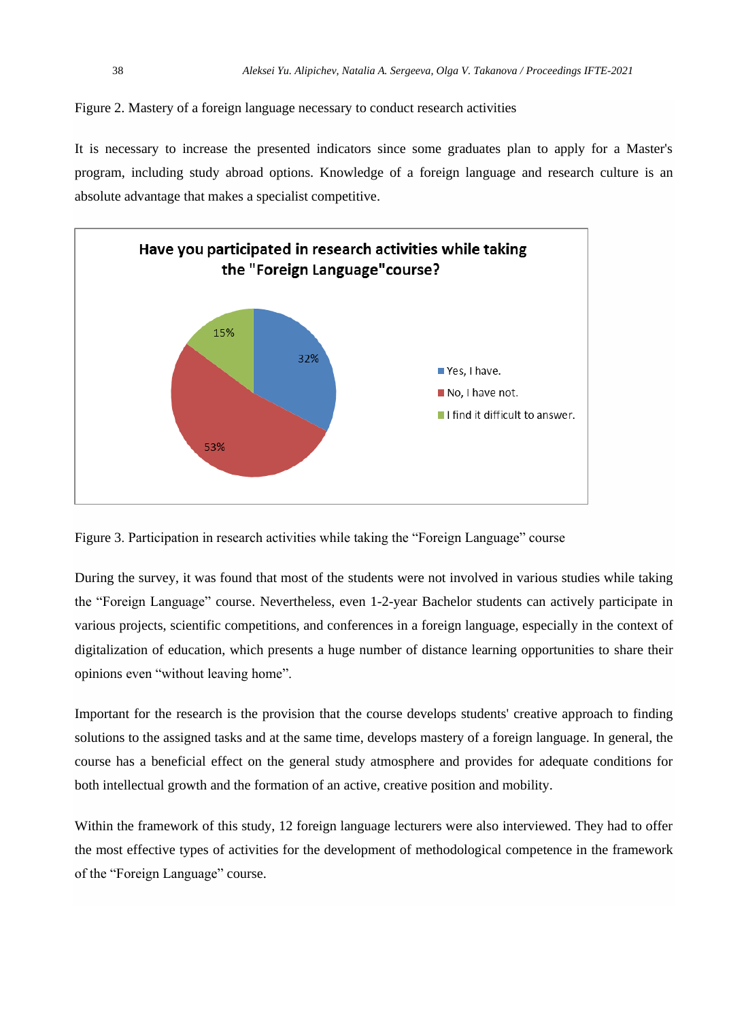Figure 2. Mastery of a foreign language necessary to conduct research activities

It is necessary to increase the presented indicators since some graduates plan to apply for a Master's program, including study abroad options. Knowledge of a foreign language and research culture is an absolute advantage that makes a specialist competitive.



Figure 3. Participation in research activities while taking the "Foreign Language" course

During the survey, it was found that most of the students were not involved in various studies while taking the "Foreign Language" course. Nevertheless, even 1-2-year Bachelor students can actively participate in various projects, scientific competitions, and conferences in a foreign language, especially in the context of digitalization of education, which presents a huge number of distance learning opportunities to share their opinions even "without leaving home".

Important for the research is the provision that the course develops students' creative approach to finding solutions to the assigned tasks and at the same time, develops mastery of a foreign language. In general, the course has a beneficial effect on the general study atmosphere and provides for adequate conditions for both intellectual growth and the formation of an active, creative position and mobility.

Within the framework of this study, 12 foreign language lecturers were also interviewed. They had to offer the most effective types of activities for the development of methodological competence in the framework of the "Foreign Language" course.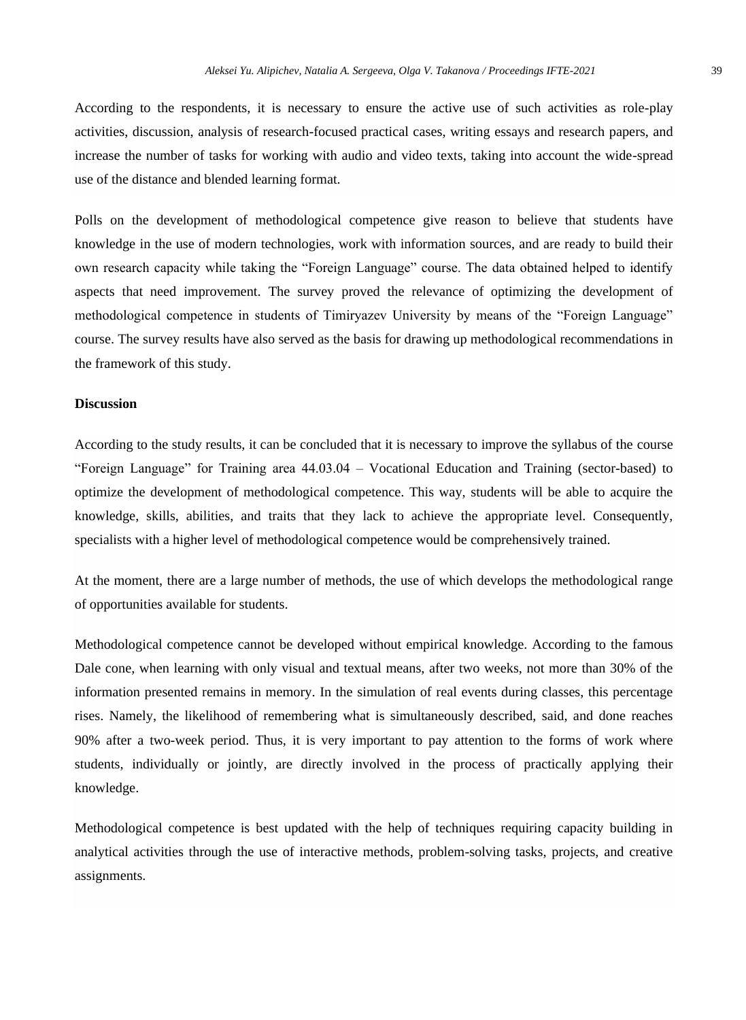According to the respondents, it is necessary to ensure the active use of such activities as role-play activities, discussion, analysis of research-focused practical cases, writing essays and research papers, and increase the number of tasks for working with audio and video texts, taking into account the wide-spread use of the distance and blended learning format.

Polls on the development of methodological competence give reason to believe that students have knowledge in the use of modern technologies, work with information sources, and are ready to build their own research capacity while taking the "Foreign Language" course. The data obtained helped to identify aspects that need improvement. The survey proved the relevance of optimizing the development of methodological competence in students of Timiryazev University by means of the "Foreign Language" course. The survey results have also served as the basis for drawing up methodological recommendations in the framework of this study.

#### **Discussion**

According to the study results, it can be concluded that it is necessary to improve the syllabus of the course "Foreign Language" for Training area 44.03.04 – Vocational Education and Training (sector-based) to optimize the development of methodological competence. This way, students will be able to acquire the knowledge, skills, abilities, and traits that they lack to achieve the appropriate level. Consequently, specialists with a higher level of methodological competence would be comprehensively trained.

At the moment, there are a large number of methods, the use of which develops the methodological range of opportunities available for students.

Methodological competence cannot be developed without empirical knowledge. According to the famous Dale cone, when learning with only visual and textual means, after two weeks, not more than 30% of the information presented remains in memory. In the simulation of real events during classes, this percentage rises. Namely, the likelihood of remembering what is simultaneously described, said, and done reaches 90% after a two-week period. Thus, it is very important to pay attention to the forms of work where students, individually or jointly, are directly involved in the process of practically applying their knowledge.

Methodological competence is best updated with the help of techniques requiring capacity building in analytical activities through the use of interactive methods, problem-solving tasks, projects, and creative assignments.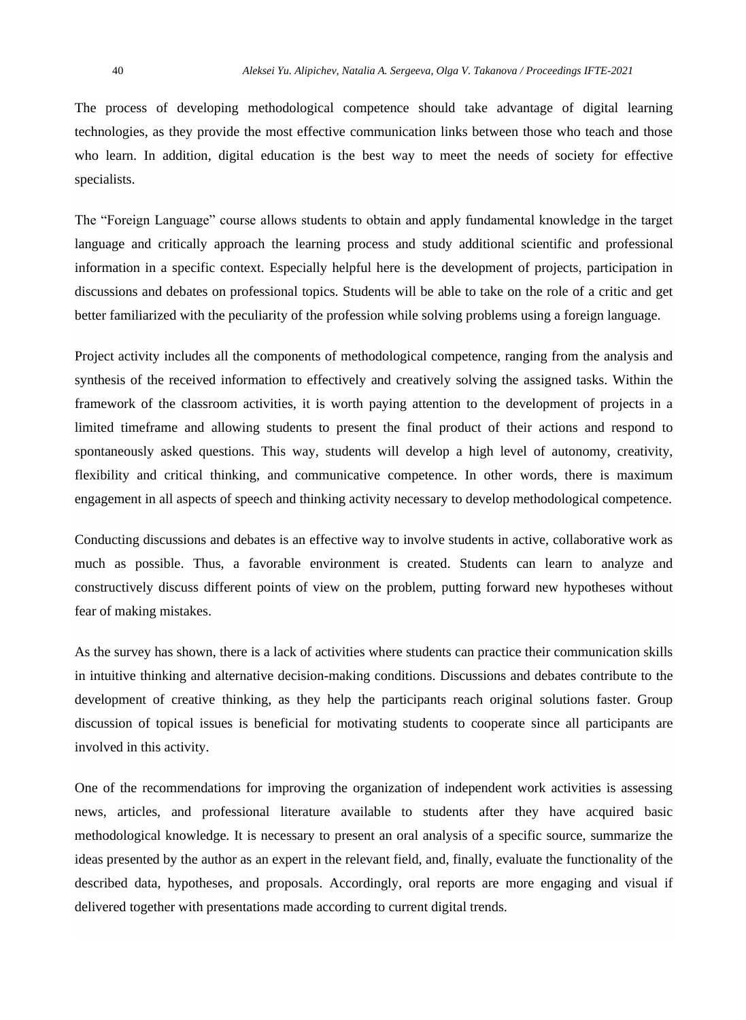The process of developing methodological competence should take advantage of digital learning technologies, as they provide the most effective communication links between those who teach and those who learn. In addition, digital education is the best way to meet the needs of society for effective specialists.

The "Foreign Language" course allows students to obtain and apply fundamental knowledge in the target language and critically approach the learning process and study additional scientific and professional information in a specific context. Especially helpful here is the development of projects, participation in discussions and debates on professional topics. Students will be able to take on the role of a critic and get better familiarized with the peculiarity of the profession while solving problems using a foreign language.

Project activity includes all the components of methodological competence, ranging from the analysis and synthesis of the received information to effectively and creatively solving the assigned tasks. Within the framework of the classroom activities, it is worth paying attention to the development of projects in a limited timeframe and allowing students to present the final product of their actions and respond to spontaneously asked questions. This way, students will develop a high level of autonomy, creativity, flexibility and critical thinking, and communicative competence. In other words, there is maximum engagement in all aspects of speech and thinking activity necessary to develop methodological competence.

Conducting discussions and debates is an effective way to involve students in active, collaborative work as much as possible. Thus, a favorable environment is created. Students can learn to analyze and constructively discuss different points of view on the problem, putting forward new hypotheses without fear of making mistakes.

As the survey has shown, there is a lack of activities where students can practice their communication skills in intuitive thinking and alternative decision-making conditions. Discussions and debates contribute to the development of creative thinking, as they help the participants reach original solutions faster. Group discussion of topical issues is beneficial for motivating students to cooperate since all participants are involved in this activity.

One of the recommendations for improving the organization of independent work activities is assessing news, articles, and professional literature available to students after they have acquired basic methodological knowledge. It is necessary to present an oral analysis of a specific source, summarize the ideas presented by the author as an expert in the relevant field, and, finally, evaluate the functionality of the described data, hypotheses, and proposals. Accordingly, oral reports are more engaging and visual if delivered together with presentations made according to current digital trends.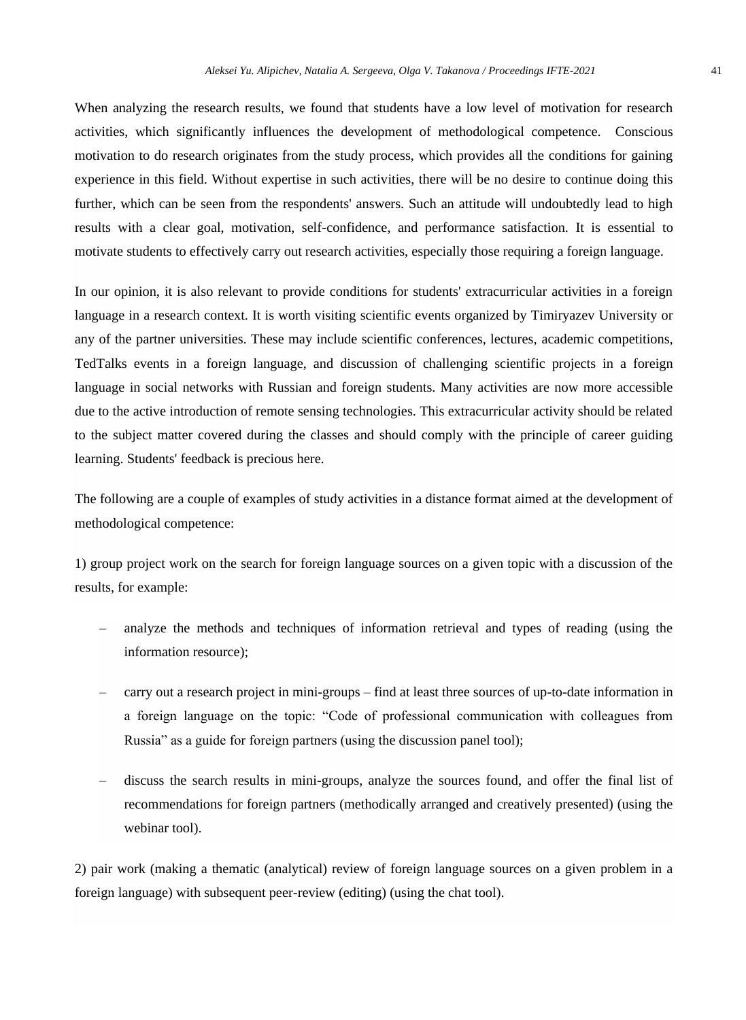When analyzing the research results, we found that students have a low level of motivation for research activities, which significantly influences the development of methodological competence. Conscious motivation to do research originates from the study process, which provides all the conditions for gaining experience in this field. Without expertise in such activities, there will be no desire to continue doing this further, which can be seen from the respondents' answers. Such an attitude will undoubtedly lead to high results with a clear goal, motivation, self-confidence, and performance satisfaction. It is essential to motivate students to effectively carry out research activities, especially those requiring a foreign language.

In our opinion, it is also relevant to provide conditions for students' extracurricular activities in a foreign language in a research context. It is worth visiting scientific events organized by Timiryazev University or any of the partner universities. These may include scientific conferences, lectures, academic competitions, TedTalks events in a foreign language, and discussion of challenging scientific projects in a foreign language in social networks with Russian and foreign students. Many activities are now more accessible due to the active introduction of remote sensing technologies. This extracurricular activity should be related to the subject matter covered during the classes and should comply with the principle of career guiding learning. Students' feedback is precious here.

The following are a couple of examples of study activities in a distance format aimed at the development of methodological competence:

1) group project work on the search for foreign language sources on a given topic with a discussion of the results, for example:

- analyze the methods and techniques of information retrieval and types of reading (using the information resource);
- carry out a research project in mini-groups find at least three sources of up-to-date information in a foreign language on the topic: "Code of professional communication with colleagues from Russia" as a guide for foreign partners (using the discussion panel tool);
- discuss the search results in mini-groups, analyze the sources found, and offer the final list of recommendations for foreign partners (methodically arranged and creatively presented) (using the webinar tool).

2) pair work (making a thematic (analytical) review of foreign language sources on a given problem in a foreign language) with subsequent peer-review (editing) (using the chat tool).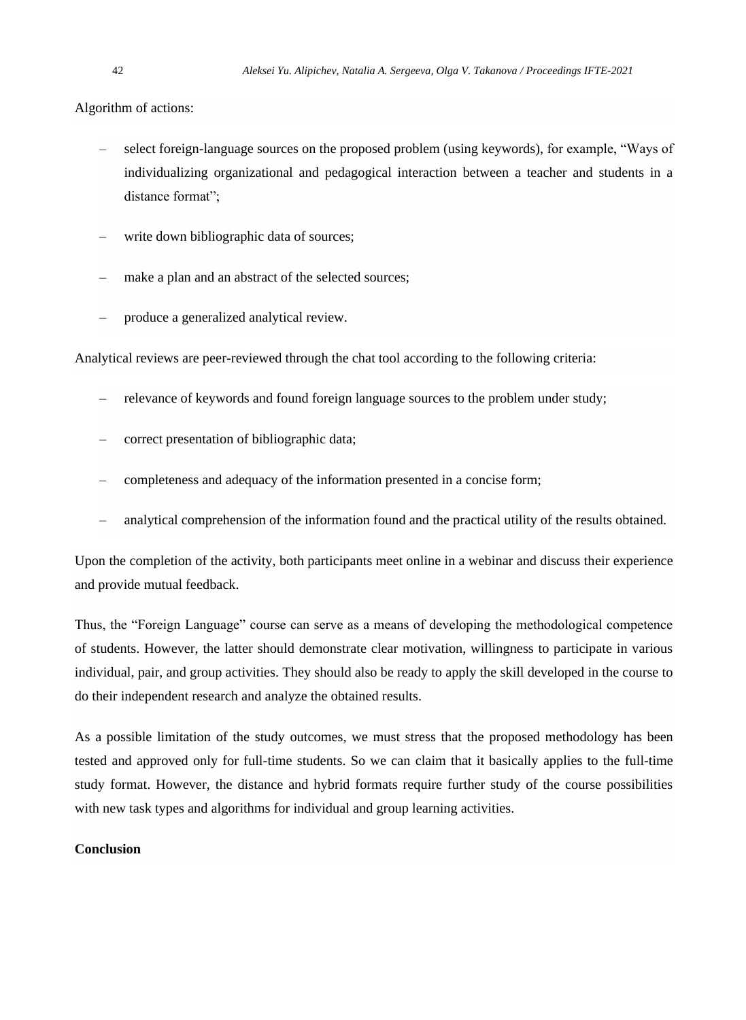Algorithm of actions:

- select foreign-language sources on the proposed problem (using keywords), for example, "Ways of individualizing organizational and pedagogical interaction between a teacher and students in a distance format";
- write down bibliographic data of sources;
- make a plan and an abstract of the selected sources;
- produce a generalized analytical review.

Analytical reviews are peer-reviewed through the chat tool according to the following criteria:

- relevance of keywords and found foreign language sources to the problem under study;
- correct presentation of bibliographic data;
- completeness and adequacy of the information presented in a concise form;
- analytical comprehension of the information found and the practical utility of the results obtained.

Upon the completion of the activity, both participants meet online in a webinar and discuss their experience and provide mutual feedback.

Thus, the "Foreign Language" course can serve as a means of developing the methodological competence of students. However, the latter should demonstrate clear motivation, willingness to participate in various individual, pair, and group activities. They should also be ready to apply the skill developed in the course to do their independent research and analyze the obtained results.

As a possible limitation of the study outcomes, we must stress that the proposed methodology has been tested and approved only for full-time students. So we can claim that it basically applies to the full-time study format. However, the distance and hybrid formats require further study of the course possibilities with new task types and algorithms for individual and group learning activities.

# **Conclusion**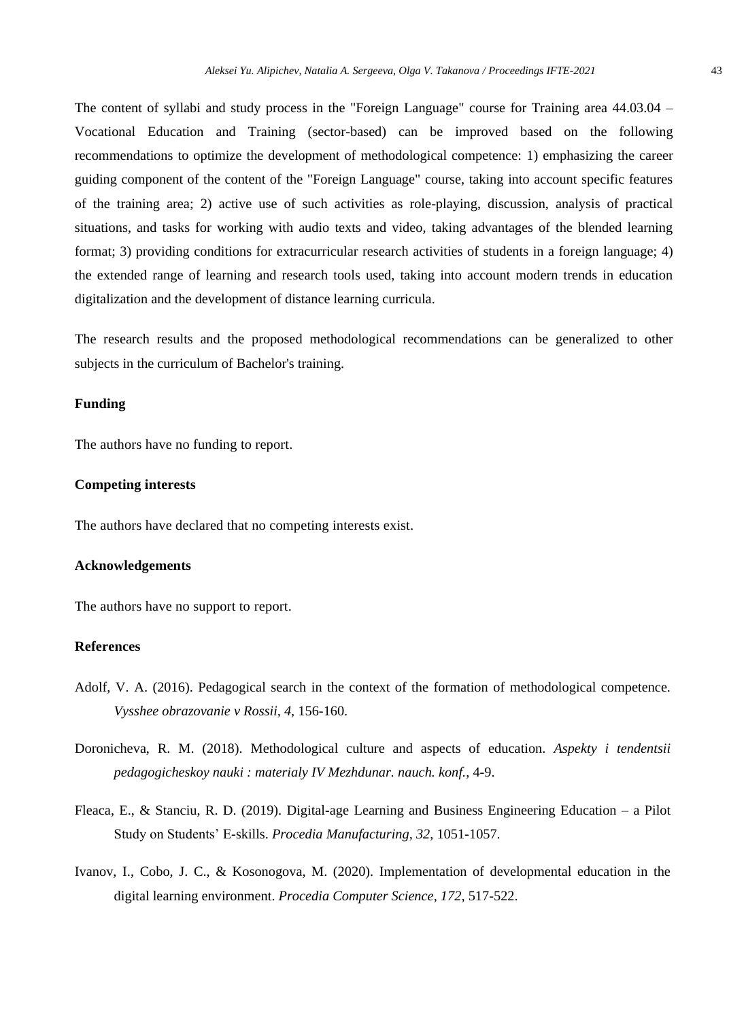The content of syllabi and study process in the "Foreign Language" course for Training area 44.03.04 – Vocational Education and Training (sector-based) can be improved based on the following recommendations to optimize the development of methodological competence: 1) emphasizing the career guiding component of the content of the "Foreign Language" course, taking into account specific features of the training area; 2) active use of such activities as role-playing, discussion, analysis of practical situations, and tasks for working with audio texts and video, taking advantages of the blended learning format; 3) providing conditions for extracurricular research activities of students in a foreign language; 4) the extended range of learning and research tools used, taking into account modern trends in education digitalization and the development of distance learning curricula.

The research results and the proposed methodological recommendations can be generalized to other subjects in the curriculum of Bachelor's training.

#### **Funding**

The authors have no funding to report.

#### **Competing interests**

The authors have declared that no competing interests exist.

#### **Acknowledgements**

The authors have no support to report.

# **References**

- Adolf, V. A. (2016). Pedagogical search in the context of the formation of methodological competence. *Vysshee obrazovanie v Rossii, 4*, 156-160.
- Doronicheva, R. M. (2018). Methodological culture and aspects of education. *Aspekty i tendentsii pedagogicheskoy nauki : materialy IV Mezhdunar. nauch. konf.*, 4-9.
- Fleaca, E., & Stanciu, R. D. (2019). Digital-age Learning and Business Engineering Education a Pilot Study on Students' E-skills. *Procedia Manufacturing, 32*, 1051-1057.
- Ivanov, I., Cobo, J. C., & Kosonogova, M. (2020). Implementation of developmental education in the digital learning environment. *Procedia Computer Science, 172,* 517-522.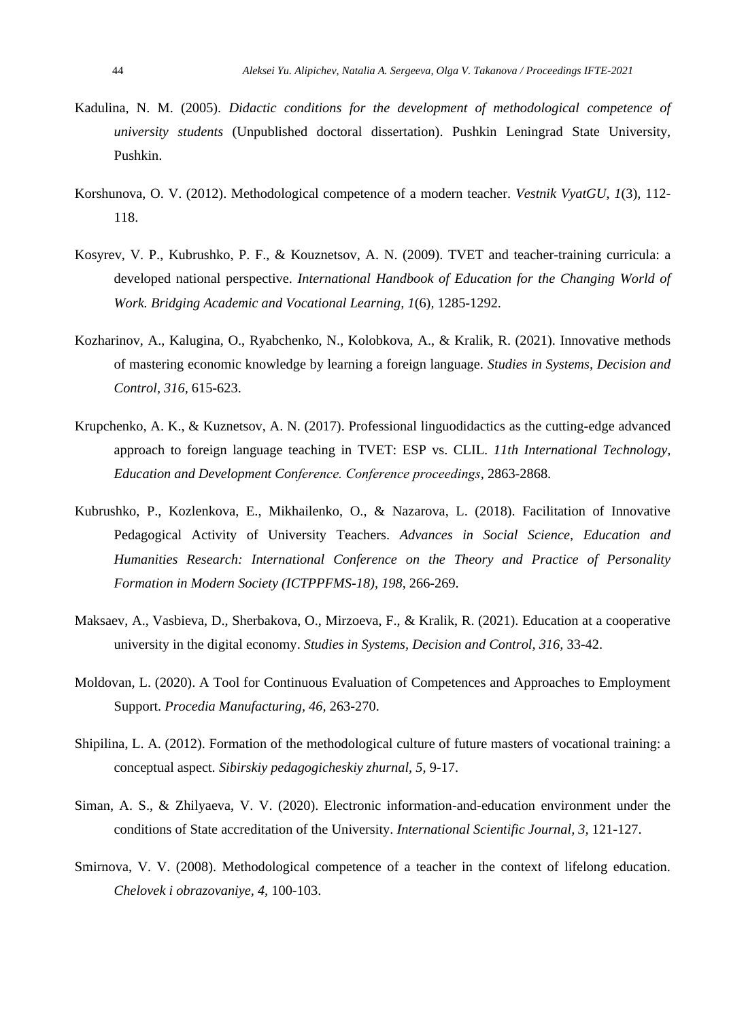- Kadulina, N. M. (2005). *Didactic conditions for the development of methodological competence of university students* (Unpublished doctoral dissertation). Pushkin Leningrad State University, Pushkin.
- Korshunova, O. V. (2012). Methodological competence of a modern teacher. *Vestnik VyatGU*, *1*(3)*,* 112- 118.
- Kosyrev, V. P., Kubrushko, P. F., & Kouznetsov, A. N. (2009). TVET and teacher-training curricula: a developed national perspective. *International Handbook of Education for the Changing World of Work. Bridging Academic and Vocational Learning, 1*(6)*,* 1285-1292.
- Kozharinov, A., Kalugina, O., Ryabchenko, N., Kolobkova, A., & Kralik, R. (2021). Innovative methods of mastering economic knowledge by learning a foreign language. *Studies in Systems, Decision and Control, 316,* 615-623.
- Krupchenko, A. K., & Kuznetsov, A. N. (2017). Professional linguodidactics as the cutting-edge advanced approach to foreign language teaching in TVET: ESP vs. CLIL. *11th International Technology, Education and Development Conference. Сonference proceedings,* 2863-2868.
- Kubrushko, P., Kozlenkova, E., Mikhailenko, O., & Nazarova, L. (2018). Facilitation of Innovative Pedagogical Activity of University Teachers. *Advances in Social Science, Education and Humanities Research: International Conference on the Theory and Practice of Personality Formation in Modern Society (ICTPPFMS-18), 198,* 266-269.
- Maksaev, A., Vasbieva, D., Sherbakova, O., Mirzoeva, F., & Kralik, R. (2021). Education at a cooperative university in the digital economy. *Studies in Systems, Decision and Control, 316,* 33-42.
- Moldovan, L. (2020). A Tool for Continuous Evaluation of Competences and Approaches to Employment Support. *Procedia Manufacturing, 46,* 263-270.
- Shipilina, L. A. (2012). Formation of the methodological culture of future masters of vocational training: a conceptual aspect. *Sibirskiy pedagogicheskiy zhurnal, 5*, 9-17.
- Siman, A. S., & Zhilyaeva, V. V. (2020). Electronic information-and-education environment under the conditions of State accreditation of the University. *International Scientific Journal, 3,* 121-127.
- Smirnova, V. V. (2008). Methodological competence of a teacher in the context of lifelong education. *Chelovek i obrazovaniye, 4,* 100-103.